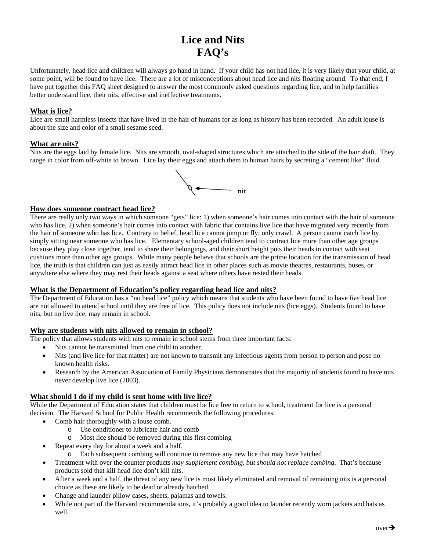# **Lice and Nits FAQ's**

Unfortunately, head lice and children will always go hand in hand. If your child has not had lice, it is very likely that your child, at some point, will be found to have lice. There are a lot of misconceptions about head lice and nits floating around. To that end, I have put together this FAQ sheet designed to answer the most commonly asked questions regarding lice, and to help families better understand lice, their nits, effective and ineffective treatments.

# **What is lice?**

Lice are small harmless insects that have lived in the hair of humans for as long as history has been recorded. An adult louse is about the size and color of a small sesame seed.

## **What are nits?**

Nits are the eggs laid by female lice. Nits are smooth, oval-shaped structures which are attached to the side of the hair shaft. They range in color from off-white to brown. Lice lay their eggs and attach them to human hairs by secreting a "cement like" fluid.



## **How does someone contract head lice?**

There are really only two ways in which someone "gets" lice: 1) when someone's hair comes into contact with the hair of someone who has lice, 2) when someone's hair comes into contact with fabric that contains live lice that have migrated very recently from the hair of someone who has lice. Contrary to belief, head lice cannot jump or fly; only crawl. A person cannot catch lice by simply sitting near someone who has lice. Elementary school-aged children tend to contract lice more than other age groups because they play close together, tend to share their belongings, and their short height puts their heads in contact with seat cushions more than other age groups. While many people believe that schools are the prime location for the transmission of head lice, the truth is that children can just as easily attract head lice in other places such as movie theatres, restaurants, buses, or anywhere else where they may rest their heads against a seat where others have rested their heads.

#### **What is the Department of Education's policy regarding head lice and nits?**

The Department of Education has a "no head lice" policy which means that students who have been found to have *live* head lice are not allowed to attend school until they are free of lice. This policy does not include nits (lice eggs). Students found to have nits, but no live lice, may remain in school.

#### **Why are students with nits allowed to remain in school?**

The policy that allows students with nits to remain in school stems from three important facts:

- Nits cannot be transmitted from one child to another.
- Nits (and live lice for that matter) are not known to transmit any infectious agents from person to person and pose no known health risks.
- Research by the American Association of Family Physicians demonstrates that the majority of students found to have nits never develop live lice (2003).

#### **What should I do if my child is sent home with live lice?**

While the Department of Education states that children must be lice free to return to school, treatment for lice is a personal decision. The Harvard School for Public Health recommends the following procedures:

- Comb hair thoroughly with a louse comb.
	- o Use conditioner to lubricate hair and comb
	- o Most lice should be removed during this first combing
- Repeat every day for about a week and a half.
	- o Each subsequent combing will continue to remove any new lice that may have hatched
- Treatment with over the counter products *may supplement combing, but should not replace combing*. That's because products sold that kill head lice don't kill nits.
- After a week and a half, the threat of any new lice is most likely eliminated and removal of remaining nits is a personal choice as these are likely to be dead or already hatched.
- Change and launder pillow cases, sheets, pajamas and towels.
- While not part of the Harvard recommendations, it's probably a good idea to launder recently worn jackets and hats as well.